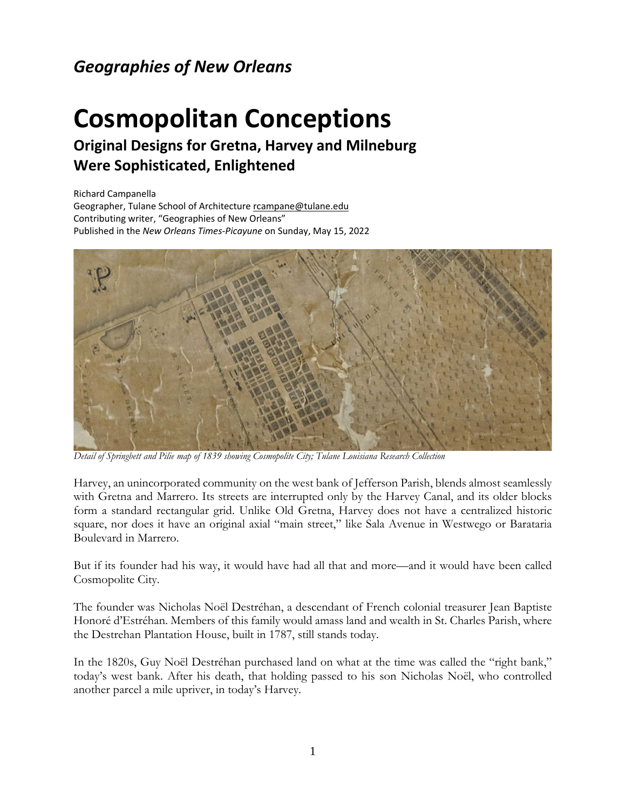## *Geographies of New Orleans*

## **Cosmopolitan Conceptions**

## **Original Designs for Gretna, Harvey and Milneburg Were Sophisticated, Enlightened**

Richard Campanella Geographer, Tulane School of Architectur[e rcampane@tulane.edu](mailto:rcampane@tulane.edu) Contributing writer, "Geographies of New Orleans" Published in the *New Orleans Times-Picayune* on Sunday, May 15, 2022



*Detail of Springbett and Pilie map of 1839 showing Cosmopolite City; Tulane Louisiana Research Collection*

Harvey, an unincorporated community on the west bank of Jefferson Parish, blends almost seamlessly with Gretna and Marrero. Its streets are interrupted only by the Harvey Canal, and its older blocks form a standard rectangular grid. Unlike Old Gretna, Harvey does not have a centralized historic square, nor does it have an original axial "main street," like Sala Avenue in Westwego or Barataria Boulevard in Marrero.

But if its founder had his way, it would have had all that and more—and it would have been called Cosmopolite City.

The founder was Nicholas Noël Destréhan, a descendant of French colonial treasurer Jean Baptiste Honoré d'Estréhan. Members of this family would amass land and wealth in St. Charles Parish, where the Destrehan Plantation House, built in 1787, still stands today.

In the 1820s, Guy Noël Destréhan purchased land on what at the time was called the "right bank," today's west bank. After his death, that holding passed to his son Nicholas Noël, who controlled another parcel a mile upriver, in today's Harvey.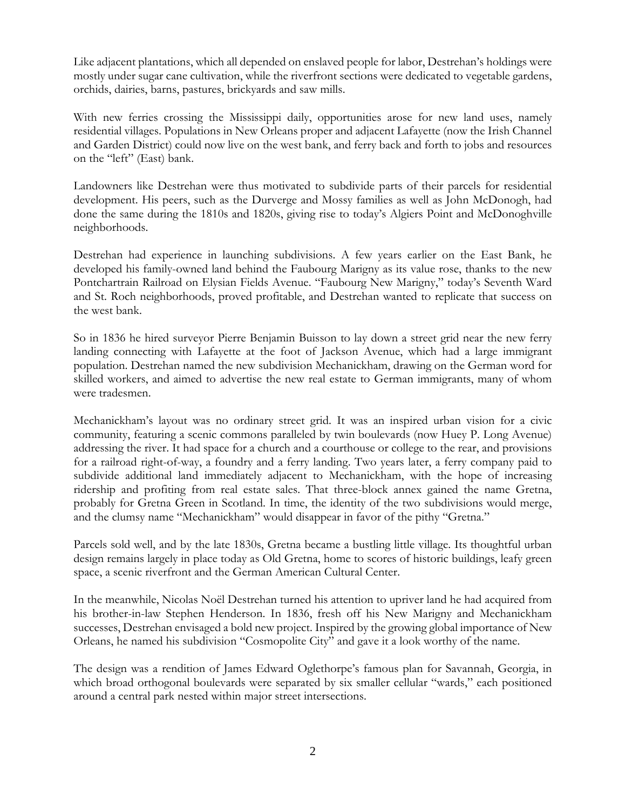Like adjacent plantations, which all depended on enslaved people for labor, Destrehan's holdings were mostly under sugar cane cultivation, while the riverfront sections were dedicated to vegetable gardens, orchids, dairies, barns, pastures, brickyards and saw mills.

With new ferries crossing the Mississippi daily, opportunities arose for new land uses, namely residential villages. Populations in New Orleans proper and adjacent Lafayette (now the Irish Channel and Garden District) could now live on the west bank, and ferry back and forth to jobs and resources on the "left" (East) bank.

Landowners like Destrehan were thus motivated to subdivide parts of their parcels for residential development. His peers, such as the Durverge and Mossy families as well as John McDonogh, had done the same during the 1810s and 1820s, giving rise to today's Algiers Point and McDonoghville neighborhoods.

Destrehan had experience in launching subdivisions. A few years earlier on the East Bank, he developed his family-owned land behind the Faubourg Marigny as its value rose, thanks to the new Pontchartrain Railroad on Elysian Fields Avenue. "Faubourg New Marigny," today's Seventh Ward and St. Roch neighborhoods, proved profitable, and Destrehan wanted to replicate that success on the west bank.

So in 1836 he hired surveyor Pierre Benjamin Buisson to lay down a street grid near the new ferry landing connecting with Lafayette at the foot of Jackson Avenue, which had a large immigrant population. Destrehan named the new subdivision Mechanickham, drawing on the German word for skilled workers, and aimed to advertise the new real estate to German immigrants, many of whom were tradesmen.

Mechanickham's layout was no ordinary street grid. It was an inspired urban vision for a civic community, featuring a scenic commons paralleled by twin boulevards (now Huey P. Long Avenue) addressing the river. It had space for a church and a courthouse or college to the rear, and provisions for a railroad right-of-way, a foundry and a ferry landing. Two years later, a ferry company paid to subdivide additional land immediately adjacent to Mechanickham, with the hope of increasing ridership and profiting from real estate sales. That three-block annex gained the name Gretna, probably for Gretna Green in Scotland. In time, the identity of the two subdivisions would merge, and the clumsy name "Mechanickham" would disappear in favor of the pithy "Gretna."

Parcels sold well, and by the late 1830s, Gretna became a bustling little village. Its thoughtful urban design remains largely in place today as Old Gretna, home to scores of historic buildings, leafy green space, a scenic riverfront and the German American Cultural Center.

In the meanwhile, Nicolas Noël Destrehan turned his attention to upriver land he had acquired from his brother-in-law Stephen Henderson. In 1836, fresh off his New Marigny and Mechanickham successes, Destrehan envisaged a bold new project. Inspired by the growing global importance of New Orleans, he named his subdivision "Cosmopolite City" and gave it a look worthy of the name.

The design was a rendition of James Edward Oglethorpe's famous plan for Savannah, Georgia, in which broad orthogonal boulevards were separated by six smaller cellular "wards," each positioned around a central park nested within major street intersections.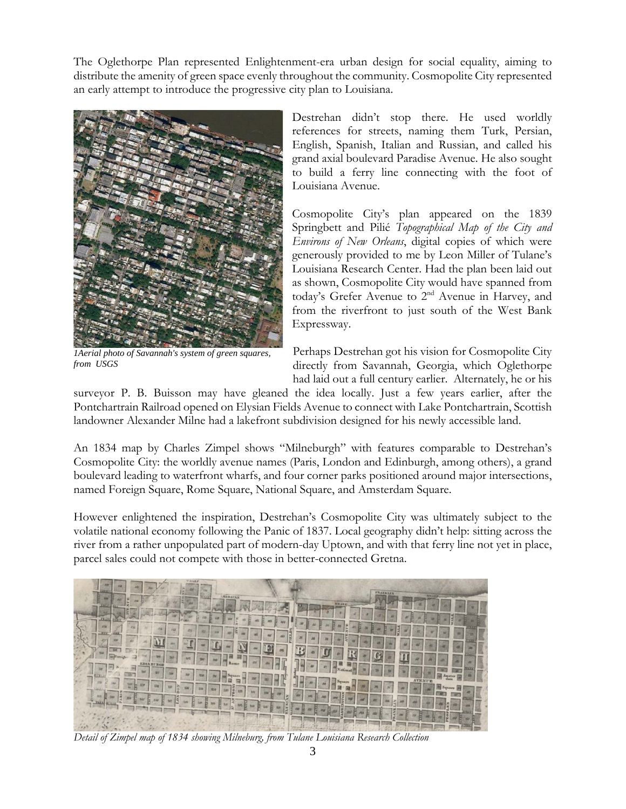The Oglethorpe Plan represented Enlightenment-era urban design for social equality, aiming to distribute the amenity of green space evenly throughout the community. Cosmopolite City represented an early attempt to introduce the progressive city plan to Louisiana.



*1Aerial photo of Savannah's system of green squares, from USGS*

Destrehan didn't stop there. He used worldly references for streets, naming them Turk, Persian, English, Spanish, Italian and Russian, and called his grand axial boulevard Paradise Avenue. He also sought to build a ferry line connecting with the foot of Louisiana Avenue.

Cosmopolite City's plan appeared on the 1839 Springbett and Pilié *Topographical Map of the City and Environs of New Orleans*, digital copies of which were generously provided to me by Leon Miller of Tulane's Louisiana Research Center. Had the plan been laid out as shown, Cosmopolite City would have spanned from today's Grefer Avenue to 2<sup>nd</sup> Avenue in Harvey, and from the riverfront to just south of the West Bank Expressway.

Perhaps Destrehan got his vision for Cosmopolite City directly from Savannah, Georgia, which Oglethorpe had laid out a full century earlier. Alternately, he or his

surveyor P. B. Buisson may have gleaned the idea locally. Just a few years earlier, after the Pontchartrain Railroad opened on Elysian Fields Avenue to connect with Lake Pontchartrain, Scottish landowner Alexander Milne had a lakefront subdivision designed for his newly accessible land.

An 1834 map by Charles Zimpel shows "Milneburgh" with features comparable to Destrehan's Cosmopolite City: the worldly avenue names (Paris, London and Edinburgh, among others), a grand boulevard leading to waterfront wharfs, and four corner parks positioned around major intersections, named Foreign Square, Rome Square, National Square, and Amsterdam Square.

However enlightened the inspiration, Destrehan's Cosmopolite City was ultimately subject to the volatile national economy following the Panic of 1837. Local geography didn't help: sitting across the river from a rather unpopulated part of modern-day Uptown, and with that ferry line not yet in place, parcel sales could not compete with those in better-connected Gretna.



*Detail of Zimpel map of 1834 showing Milneburg, from Tulane Louisiana Research Collection*